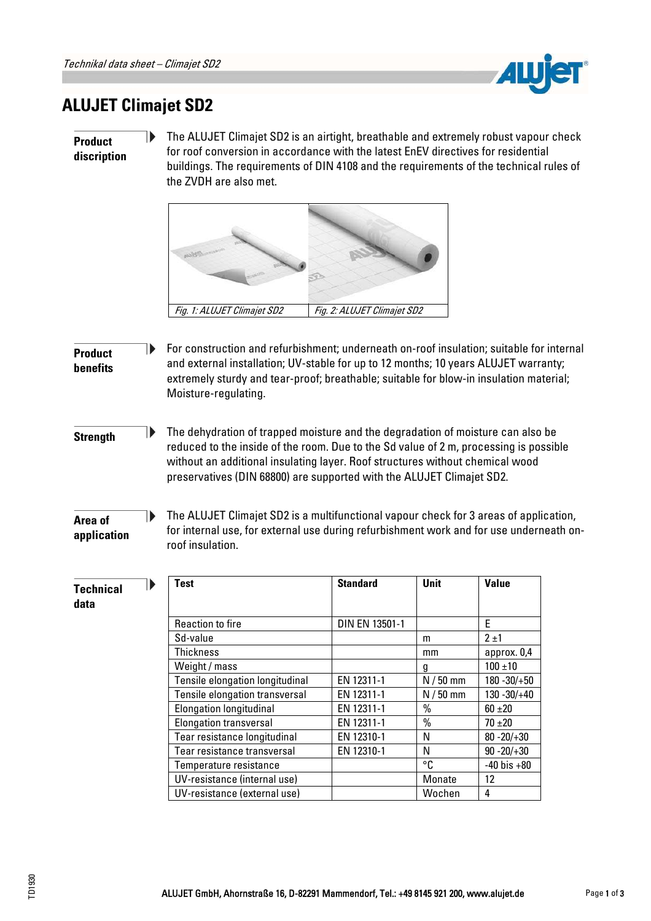

# **ALUJET Climajet SD2**

D

```
Product 
discription
```
The ALUJET Climajet SD2 is an airtight, breathable and extremely robust vapour check for roof conversion in accordance with the latest EnEV directives for residential buildings. The requirements of DIN 4108 and the requirements of the technical rules of the ZVDH are also met.



#### **Product benefits** For construction and refurbishment; underneath on-roof insulation; suitable for internal and external installation; UV-stable for up to 12 months; 10 years ALUJET warranty; extremely sturdy and tear-proof; breathable; suitable for blow-in insulation material; Moisture-regulating.

**Strength** The dehydration of trapped moisture and the degradation of moisture can also be reduced to the inside of the room. Due to the Sd value of 2 m, processing is possible without an additional insulating layer. Roof structures without chemical wood preservatives (DIN 68800) are supported with the ALUJET Climajet SD2.

# **Area of application**

Ъ

The ALUJET Climajet SD2 is a multifunctional vapour check for 3 areas of application, for internal use, for external use during refurbishment work and for use underneath onroof insulation.

| <b>Technical</b><br>data | <b>Test</b>                     | <b>Standard</b> | <b>Unit</b> | <b>Value</b>     |
|--------------------------|---------------------------------|-----------------|-------------|------------------|
|                          | <b>Reaction to fire</b>         | DIN EN 13501-1  |             | E                |
|                          | Sd-value                        |                 | m           | 2±1              |
|                          | <b>Thickness</b>                |                 | mm          | approx. 0,4      |
|                          | Weight / mass                   |                 | g           | $100 \pm 10$     |
|                          | Tensile elongation longitudinal | EN 12311-1      | $N/50$ mm   | $180 - 30/ + 50$ |
|                          | Tensile elongation transversal  | EN 12311-1      | $N/50$ mm   | $130 - 30/ + 40$ |
|                          | Elongation longitudinal         | EN 12311-1      | $\%$        | $60 + 20$        |
|                          | <b>Elongation transversal</b>   | EN 12311-1      | $\%$        | $70 \pm 20$      |
|                          | Tear resistance longitudinal    | EN 12310-1      | N           | $80 - 20/ + 30$  |
|                          | Tear resistance transversal     | EN 12310-1      | N           | $90 - 20/ + 30$  |
|                          | Temperature resistance          |                 | °C          | $-40$ bis $+80$  |
|                          | UV-resistance (internal use)    |                 | Monate      | 12               |
|                          | UV-resistance (external use)    |                 | Wochen      | 4                |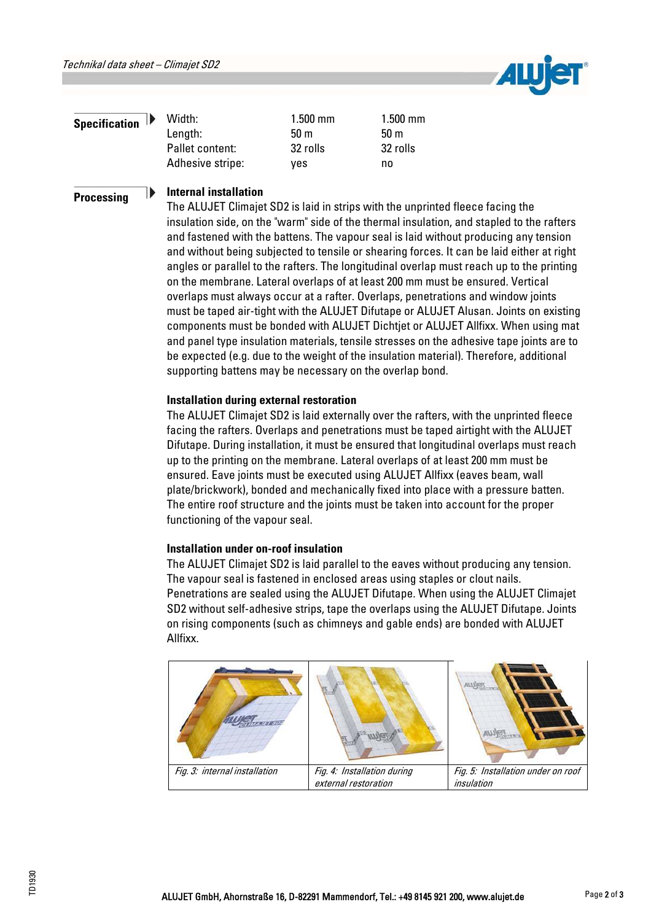

| <b>Specification</b> |
|----------------------|
|                      |

**Width:** Length: Pallet content: Adhesive stripe: 1.500 mm 50 m 32 rolls yes

1.500 mm 50 m 32 rolls no

#### **Processing Internal installation**

The ALUJET Climajet SD2 is laid in strips with the unprinted fleece facing the insulation side, on the "warm" side of the thermal insulation, and stapled to the rafters and fastened with the battens. The vapour seal is laid without producing any tension and without being subjected to tensile or shearing forces. It can be laid either at right angles or parallel to the rafters. The longitudinal overlap must reach up to the printing on the membrane. Lateral overlaps of at least 200 mm must be ensured. Vertical overlaps must always occur at a rafter. Overlaps, penetrations and window joints must be taped air-tight with the ALUJET Difutape or ALUJET Alusan. Joints on existing components must be bonded with ALUJET Dichtjet or ALUJET Allfixx. When using mat and panel type insulation materials, tensile stresses on the adhesive tape joints are to be expected (e.g. due to the weight of the insulation material). Therefore, additional supporting battens may be necessary on the overlap bond.

## **Installation during external restoration**

The ALUJET Climajet SD2 is laid externally over the rafters, with the unprinted fleece facing the rafters. Overlaps and penetrations must be taped airtight with the ALUJET Difutape. During installation, it must be ensured that longitudinal overlaps must reach up to the printing on the membrane. Lateral overlaps of at least 200 mm must be ensured. Eave joints must be executed using ALUJET Allfixx (eaves beam, wall plate/brickwork), bonded and mechanically fixed into place with a pressure batten. The entire roof structure and the joints must be taken into account for the proper functioning of the vapour seal.

## **Installation under on-roof insulation**

The ALUJET Climajet SD2 is laid parallel to the eaves without producing any tension. The vapour seal is fastened in enclosed areas using staples or clout nails. Penetrations are sealed using the ALUJET Difutape. When using the ALUJET Climajet SD2 without self-adhesive strips, tape the overlaps using the ALUJET Difutape. Joints on rising components (such as chimneys and gable ends) are bonded with ALUJET Allfixx.